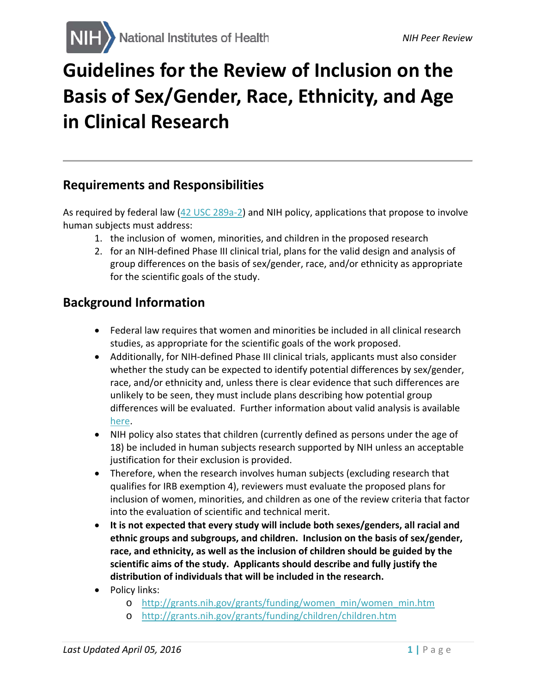# **Guidelines for the Review of Inclusion on the Basis of Sex/Gender, Race, Ethnicity, and Age in Clinical Research**

### **Requirements and Responsibilities**

As required by federal law [\(42 USC 289a-2\)](http://www.gpo.gov/fdsys/pkg/USCODE-2011-title42/pdf/USCODE-2011-title42-chap6A-subchapIII-partH-sec289a-2.pdf) and NIH policy, applications that propose to involve human subjects must address:

- 1. the inclusion of women, minorities, and children in the proposed research
- 2. for an NIH-defined Phase III clinical trial, plans for the valid design and analysis of group differences on the basis of sex/gender, race, and/or ethnicity as appropriate for the scientific goals of the study.

### **Background Information**

- Federal law requires that women and minorities be included in all clinical research studies, as appropriate for the scientific goals of the work proposed.
- Additionally, for NIH-defined Phase III clinical trials, applicants must also consider whether the study can be expected to identify potential differences by sex/gender, race, and/or ethnicity and, unless there is clear evidence that such differences are unlikely to be seen, they must include plans describing how potential group differences will be evaluated. Further information about valid analysis is available [here.](http://grants.nih.gov/grants/funding/women_min/guidelines_amended_10_2001.htm#valid)
- NIH policy also states that children (currently defined as persons under the age of 18) be included in human subjects research supported by NIH unless an acceptable justification for their exclusion is provided.
- Therefore, when the research involves human subjects (excluding research that qualifies for IRB exemption 4), reviewers must evaluate the proposed plans for inclusion of women, minorities, and children as one of the review criteria that factor into the evaluation of scientific and technical merit.
- **It is not expected that every study will include both sexes/genders, all racial and ethnic groups and subgroups, and children. Inclusion on the basis of sex/gender, race, and ethnicity, as well as the inclusion of children should be guided by the scientific aims of the study. Applicants should describe and fully justify the distribution of individuals that will be included in the research.**
- Policy links:
	- o [http://grants.nih.gov/grants/funding/women\\_min/women\\_min.htm](http://grants.nih.gov/grants/funding/women_min/women_min.htm)
	- o <http://grants.nih.gov/grants/funding/children/children.htm>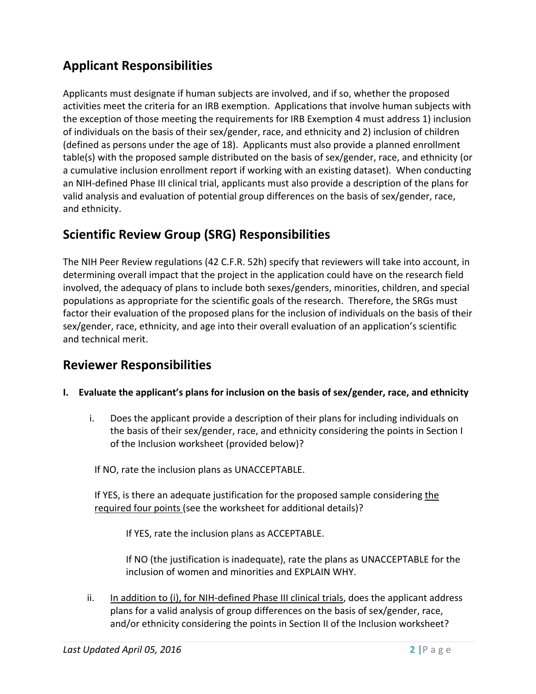# **Applicant Responsibilities**

Applicants must designate if human subjects are involved, and if so, whether the proposed activities meet the criteria for an IRB exemption. Applications that involve human subjects with the exception of those meeting the requirements for IRB Exemption 4 must address 1) inclusion of individuals on the basis of their sex/gender, race, and ethnicity and 2) inclusion of children (defined as persons under the age of 18). Applicants must also provide a planned enrollment table(s) with the proposed sample distributed on the basis of sex/gender, race, and ethnicity (or a cumulative inclusion enrollment report if working with an existing dataset). When conducting an NIH-defined Phase III clinical trial, applicants must also provide a description of the plans for valid analysis and evaluation of potential group differences on the basis of sex/gender, race, and ethnicity.

## **Scientific Review Group (SRG) Responsibilities**

The NIH Peer Review regulations (42 C.F.R. 52h) specify that reviewers will take into account, in determining overall impact that the project in the application could have on the research field involved, the adequacy of plans to include both sexes/genders, minorities, children, and special populations as appropriate for the scientific goals of the research. Therefore, the SRGs must factor their evaluation of the proposed plans for the inclusion of individuals on the basis of their sex/gender, race, ethnicity, and age into their overall evaluation of an application's scientific and technical merit.

### **Reviewer Responsibilities**

#### **I. Evaluate the applicant's plans for inclusion on the basis of sex/gender, race, and ethnicity**

i. Does the applicant provide a description of their plans for including individuals on the basis of their sex/gender, race, and ethnicity considering the points in Section I of the Inclusion worksheet (provided below)?

If NO, rate the inclusion plans as UNACCEPTABLE.

If YES, is there an adequate justification for the proposed sample considering the required four points (see the worksheet for additional details)?

If YES, rate the inclusion plans as ACCEPTABLE.

If NO (the justification is inadequate), rate the plans as UNACCEPTABLE for the inclusion of women and minorities and EXPLAIN WHY.

ii. In addition to (i), for NIH-defined Phase III clinical trials, does the applicant address plans for a valid analysis of group differences on the basis of sex/gender, race, and/or ethnicity considering the points in Section II of the Inclusion worksheet?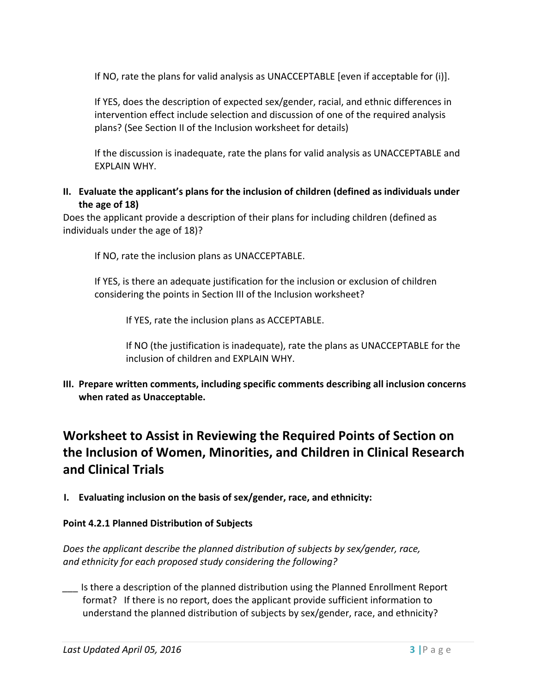If NO, rate the plans for valid analysis as UNACCEPTABLE [even if acceptable for (i)].

If YES, does the description of expected sex/gender, racial, and ethnic differences in intervention effect include selection and discussion of one of the required analysis plans? (See Section II of the Inclusion worksheet for details)

If the discussion is inadequate, rate the plans for valid analysis as UNACCEPTABLE and EXPLAIN WHY.

#### **II. Evaluate the applicant's plans for the inclusion of children (defined as individuals under the age of 18)**

Does the applicant provide a description of their plans for including children (defined as individuals under the age of 18)?

If NO, rate the inclusion plans as UNACCEPTABLE.

If YES, is there an adequate justification for the inclusion or exclusion of children considering the points in Section III of the Inclusion worksheet?

If YES, rate the inclusion plans as ACCEPTABLE.

If NO (the justification is inadequate), rate the plans as UNACCEPTABLE for the inclusion of children and EXPLAIN WHY.

**III. Prepare written comments, including specific comments describing all inclusion concerns when rated as Unacceptable.**

# **Worksheet to Assist in Reviewing the Required Points of Section on the Inclusion of Women, Minorities, and Children in Clinical Research and Clinical Trials**

**I. Evaluating inclusion on the basis of sex/gender, race, and ethnicity:**

#### **Point 4.2.1 Planned Distribution of Subjects**

*Does the applicant describe the planned distribution of subjects by sex/gender, race, and ethnicity for each proposed study considering the following?*

*\_\_\_* Is there a description of the planned distribution using the Planned Enrollment Report format? If there is no report, does the applicant provide sufficient information to understand the planned distribution of subjects by sex/gender, race, and ethnicity?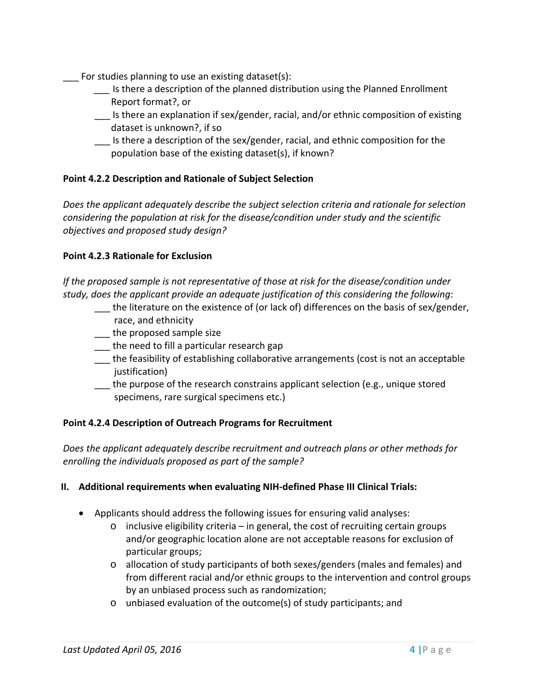- For studies planning to use an existing dataset(s):
	- *\_\_\_* Is there a description of the planned distribution using the Planned Enrollment Report format?, or
	- \_\_\_ Is there an explanation if sex/gender, racial, and/or ethnic composition of existing dataset is unknown?, if so
	- \_\_\_ Is there a description of the sex/gender, racial, and ethnic composition for the population base of the existing dataset(s), if known?

#### **Point 4.2.2 Description and Rationale of Subject Selection**

*Does the applicant adequately describe the subject selection criteria and rationale for selection considering the population at risk for the disease/condition under study and the scientific objectives and proposed study design?* 

#### **Point 4.2.3 Rationale for Exclusion**

*If the proposed sample is not representative of those at risk for the disease/condition under study, does the applicant provide an adequate justification of this considering the following*:

- \_\_\_ the literature on the existence of (or lack of) differences on the basis of sex/gender, race, and ethnicity
- the proposed sample size
- \_\_\_ the need to fill a particular research gap
- \_\_\_ the feasibility of establishing collaborative arrangements (cost is not an acceptable justification)
- \_\_\_ the purpose of the research constrains applicant selection (e.g., unique stored specimens, rare surgical specimens etc.)

#### **Point 4.2.4 Description of Outreach Programs for Recruitment**

*Does the applicant adequately describe recruitment and outreach plans or other methods for enrolling the individuals proposed as part of the sample?*

#### **II. Additional requirements when evaluating NIH-defined Phase III Clinical Trials:**

- Applicants should address the following issues for ensuring valid analyses:
	- $\circ$  inclusive eligibility criteria in general, the cost of recruiting certain groups and/or geographic location alone are not acceptable reasons for exclusion of particular groups;
	- o allocation of study participants of both sexes/genders (males and females) and from different racial and/or ethnic groups to the intervention and control groups by an unbiased process such as randomization;
	- o unbiased evaluation of the outcome(s) of study participants; and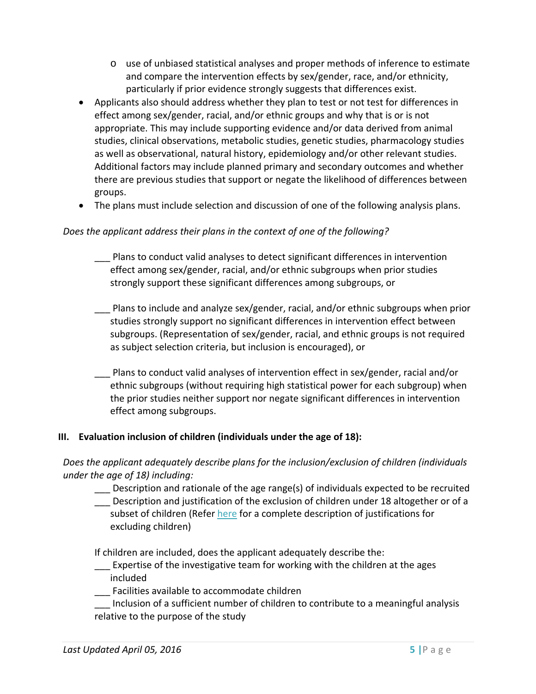- $\circ$  use of unbiased statistical analyses and proper methods of inference to estimate and compare the intervention effects by sex/gender, race, and/or ethnicity, particularly if prior evidence strongly suggests that differences exist.
- Applicants also should address whether they plan to test or not test for differences in effect among sex/gender, racial, and/or ethnic groups and why that is or is not appropriate. This may include supporting evidence and/or data derived from animal studies, clinical observations, metabolic studies, genetic studies, pharmacology studies as well as observational, natural history, epidemiology and/or other relevant studies. Additional factors may include planned primary and secondary outcomes and whether there are previous studies that support or negate the likelihood of differences between groups.
- The plans must include selection and discussion of one of the following analysis plans.

#### *Does the applicant address their plans in the context of one of the following?*

- \_\_\_ Plans to conduct valid analyses to detect significant differences in intervention effect among sex/gender, racial, and/or ethnic subgroups when prior studies strongly support these significant differences among subgroups, or
- Plans to include and analyze sex/gender, racial, and/or ethnic subgroups when prior studies strongly support no significant differences in intervention effect between subgroups. (Representation of sex/gender, racial, and ethnic groups is not required as subject selection criteria, but inclusion is encouraged), or
- \_\_\_ Plans to conduct valid analyses of intervention effect in sex/gender, racial and/or ethnic subgroups (without requiring high statistical power for each subgroup) when the prior studies neither support nor negate significant differences in intervention effect among subgroups.

#### **III. Evaluation inclusion of children (individuals under the age of 18):**

*Does the applicant adequately describe plans for the inclusion/exclusion of children (individuals under the age of 18) including:*

- \_\_\_ Description and rationale of the age range(s) of individuals expected to be recruited
- Description and justification of the exclusion of children under 18 altogether or of a subset of children (Refer [here](http://grants.nih.gov/grants/guide/notice-files/not98-024.html) for a complete description of justifications for excluding children)

If children are included, does the applicant adequately describe the:

- Expertise of the investigative team for working with the children at the ages included
- \_\_\_ Facilities available to accommodate children
- Inclusion of a sufficient number of children to contribute to a meaningful analysis relative to the purpose of the study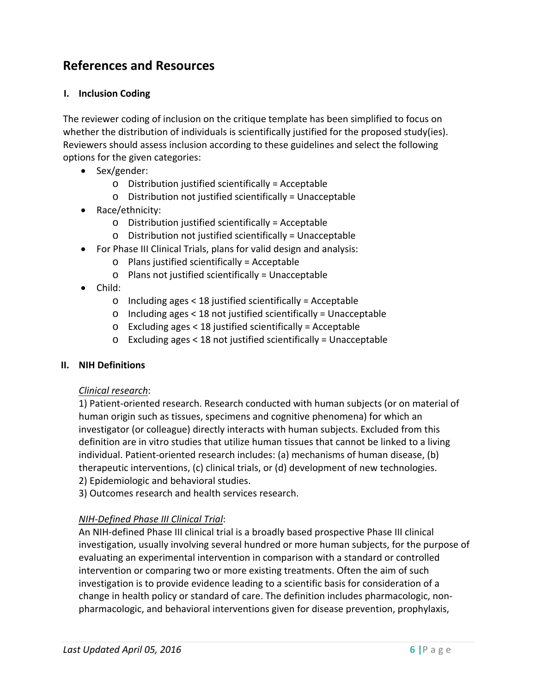## **References and Resources**

#### **I. Inclusion Coding**

The reviewer coding of inclusion on the critique template has been simplified to focus on whether the distribution of individuals is scientifically justified for the proposed study(ies). Reviewers should assess inclusion according to these guidelines and select the following options for the given categories:

- Sex/gender:
	- o Distribution justified scientifically = Acceptable
	- o Distribution not justified scientifically = Unacceptable
- Race/ethnicity:
	- o Distribution justified scientifically = Acceptable
	- o Distribution not justified scientifically = Unacceptable
- For Phase III Clinical Trials, plans for valid design and analysis:
	- o Plans justified scientifically = Acceptable
	- o Plans not justified scientifically = Unacceptable
- Child:
	- o Including ages < 18 justified scientifically = Acceptable
	- o Including ages < 18 not justified scientifically = Unacceptable
	- o Excluding ages < 18 justified scientifically = Acceptable
	- o Excluding ages < 18 not justified scientifically = Unacceptable

#### **II. NIH Definitions**

#### *Clinical research*:

1) Patient-oriented research. Research conducted with human subjects (or on material of human origin such as tissues, specimens and cognitive phenomena) for which an investigator (or colleague) directly interacts with human subjects. Excluded from this definition are in vitro studies that utilize human tissues that cannot be linked to a living individual. Patient-oriented research includes: (a) mechanisms of human disease, (b) therapeutic interventions, (c) clinical trials, or (d) development of new technologies. 2) Epidemiologic and behavioral studies.

3) Outcomes research and health services research.

#### *NIH-Defined Phase III Clinical Trial*:

An NIH-defined Phase III clinical trial is a broadly based prospective Phase III clinical investigation, usually involving several hundred or more human subjects, for the purpose of evaluating an experimental intervention in comparison with a standard or controlled intervention or comparing two or more existing treatments. Often the aim of such investigation is to provide evidence leading to a scientific basis for consideration of a change in health policy or standard of care. The definition includes pharmacologic, nonpharmacologic, and behavioral interventions given for disease prevention, prophylaxis,